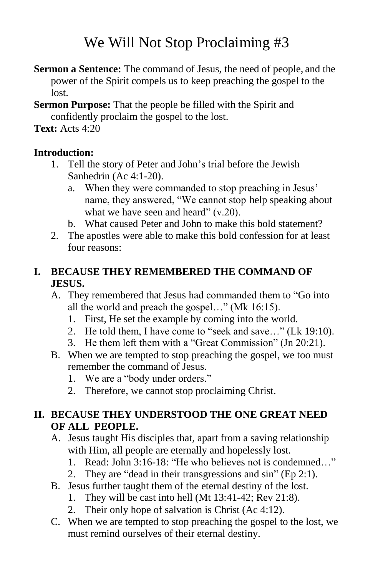# We Will Not Stop Proclaiming #3

- **Sermon a Sentence:** The command of Jesus, the need of people, and the power of the Spirit compels us to keep preaching the gospel to the lost.
- **Sermon Purpose:** That the people be filled with the Spirit and confidently proclaim the gospel to the lost.

## **Text:** Acts 4:20

## **Introduction:**

- 1. Tell the story of Peter and John's trial before the Jewish Sanhedrin (Ac 4:1-20).
	- a. When they were commanded to stop preaching in Jesus' name, they answered, "We cannot stop help speaking about what we have seen and heard" (v.20).
	- b. What caused Peter and John to make this bold statement?
- 2. The apostles were able to make this bold confession for at least four reasons:

#### **I. BECAUSE THEY REMEMBERED THE COMMAND OF JESUS.**

- A. They remembered that Jesus had commanded them to "Go into all the world and preach the gospel…" (Mk 16:15).
	- 1. First, He set the example by coming into the world.
	- 2. He told them, I have come to "seek and save…" (Lk 19:10).
	- 3. He them left them with a "Great Commission" (Jn 20:21).
- B. When we are tempted to stop preaching the gospel, we too must remember the command of Jesus.
	- 1. We are a "body under orders."
	- 2. Therefore, we cannot stop proclaiming Christ.

## **II. BECAUSE THEY UNDERSTOOD THE ONE GREAT NEED OF ALL PEOPLE.**

- A. Jesus taught His disciples that, apart from a saving relationship with Him, all people are eternally and hopelessly lost.
	- 1. Read: John 3:16-18: "He who believes not is condemned…"
	- 2. They are "dead in their transgressions and sin" (Ep 2:1).
- B. Jesus further taught them of the eternal destiny of the lost.
	- 1. They will be cast into hell (Mt 13:41-42; Rev 21:8).
	- 2. Their only hope of salvation is Christ (Ac 4:12).
- C. When we are tempted to stop preaching the gospel to the lost, we must remind ourselves of their eternal destiny.